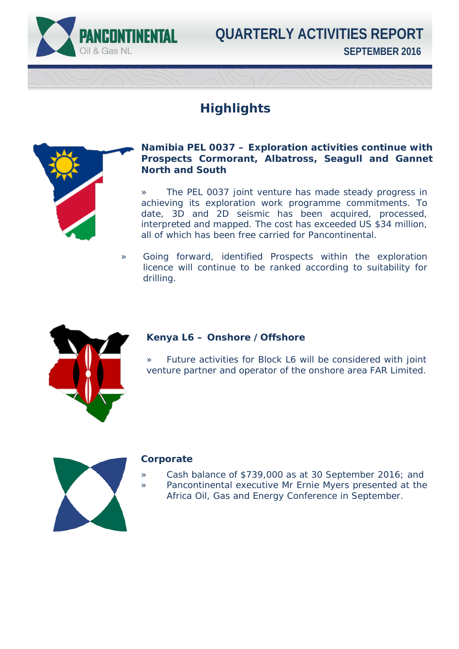

**SEPTEMBER 2016 QUARTERLY ACTIVITIES REPORT**

## **Highlights**



#### **Namibia PEL 0037 – Exploration activities continue with Prospects Cormorant, Albatross, Seagull and Gannet North and South**

» The PEL 0037 joint venture has made steady progress in achieving its exploration work programme commitments. To date, 3D and 2D seismic has been acquired, processed, interpreted and mapped. The cost has exceeded US \$34 million, all of which has been free carried for Pancontinental.

» Going forward, identified Prospects within the exploration licence will continue to be ranked according to suitability for drilling.



### **Kenya L6 – Onshore /Offshore**

» Future activities for Block L6 will be considered with joint venture partner and operator of the onshore area FAR Limited.



#### **Corporate**

- » Cash balance of \$739,000 as at 30 September 2016; and
- » Pancontinental executive Mr Ernie Myers presented at the Africa Oil, Gas and Energy Conference in September.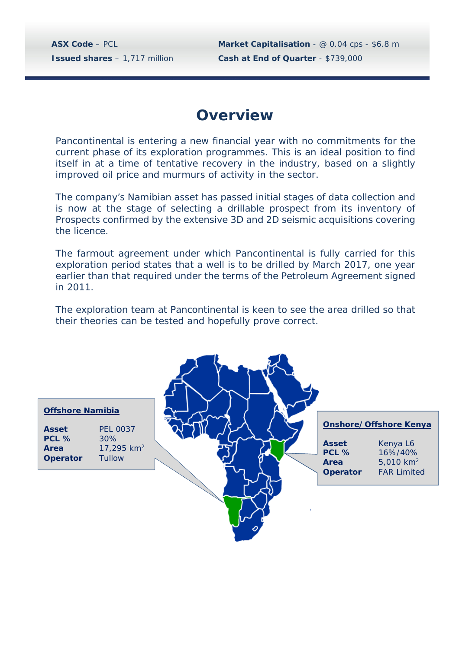**ASX Code** – PCL **Market Capitalisation** - @ 0.04 cps - \$6.8 m **Issued shares** – 1,717 million **Cash at End of Quarter** - \$739,000

## **Overview**

Pancontinental is entering a new financial year with no commitments for the current phase of its exploration programmes. This is an ideal position to find itself in at a time of tentative recovery in the industry, based on a slightly improved oil price and murmurs of activity in the sector.

The company's Namibian asset has passed initial stages of data collection and is now at the stage of selecting a drillable prospect from its inventory of Prospects confirmed by the extensive 3D and 2D seismic acquisitions covering the licence.

The farmout agreement under which Pancontinental is fully carried for this exploration period states that a well is to be drilled by March 2017, one year earlier than that required under the terms of the Petroleum Agreement signed in 2011.

The exploration team at Pancontinental is keen to see the area drilled so that their theories can be tested and hopefully prove correct.

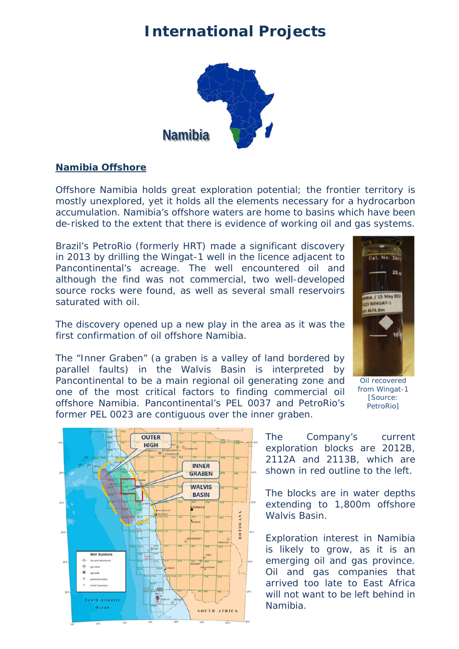## **International Projects**



#### **Namibia Offshore**

Offshore Namibia holds great exploration potential; the frontier territory is mostly unexplored, yet it holds all the elements necessary for a hydrocarbon accumulation. Namibia's offshore waters are home to basins which have been de-risked to the extent that there is evidence of working oil and gas systems.

Brazil's PetroRio (formerly HRT) made a significant discovery in 2013 by drilling the Wingat-1 well in the licence adjacent to Pancontinental's acreage. The well encountered oil and although the find was not commercial, two well-developed source rocks were found, as well as several small reservoirs saturated with oil.

The discovery opened up a new play in the area as it was the first confirmation of oil offshore Namibia.



The "Inner Graben" (a graben is a valley of land bordered by parallel faults) in the Walvis Basin is interpreted by Pancontinental to be a main regional oil generating zone and one of the most critical factors to finding commercial oil offshore Namibia. Pancontinental's PEL 0037 and PetroRio's former PEL 0023 are contiguous over the inner graben.



Oil recovered from Wingat-1 [Source: PetroRio]

The Company's current exploration blocks are 2012B, 2112A and 2113B, which are shown in red outline to the left.

The blocks are in water depths extending to 1,800m offshore Walvis Basin.

Exploration interest in Namibia is likely to grow, as it is an emerging oil and gas province. Oil and gas companies that arrived too late to East Africa will not want to be left behind in Namibia.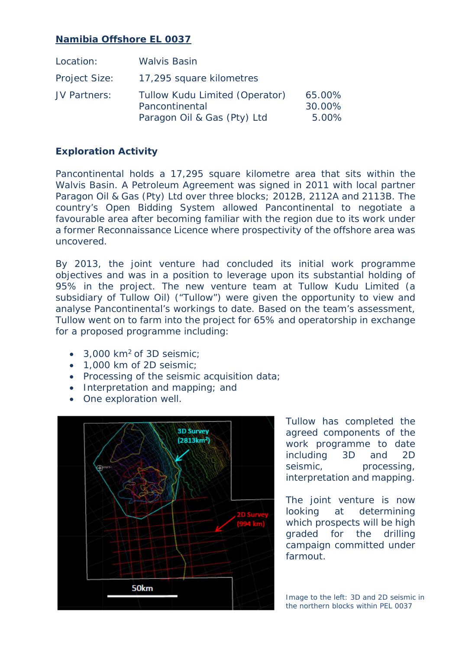### **Namibia Offshore EL 0037**

| Location:            | <b>Walvis Basin</b>                                                             |                           |
|----------------------|---------------------------------------------------------------------------------|---------------------------|
| <b>Project Size:</b> | 17,295 square kilometres                                                        |                           |
| JV Partners:         | Tullow Kudu Limited (Operator)<br>Pancontinental<br>Paragon Oil & Gas (Pty) Ltd | 65.00%<br>30.00%<br>5.00% |

### **Exploration Activity**

Pancontinental holds a 17,295 square kilometre area that sits within the Walvis Basin. A Petroleum Agreement was signed in 2011 with local partner Paragon Oil & Gas (Pty) Ltd over three blocks; 2012B, 2112A and 2113B. The country's Open Bidding System allowed Pancontinental to negotiate a favourable area after becoming familiar with the region due to its work under a former Reconnaissance Licence where prospectivity of the offshore area was uncovered.

By 2013, the joint venture had concluded its initial work programme objectives and was in a position to leverage upon its substantial holding of 95% in the project. The new venture team at Tullow Kudu Limited (a subsidiary of Tullow Oil) ("Tullow") were given the opportunity to view and analyse Pancontinental's workings to date. Based on the team's assessment, Tullow went on to farm into the project for 65% and operatorship in exchange for a proposed programme including:

- 3,000 km<sup>2</sup> of 3D seismic;
- 1,000 km of 2D seismic:
- Processing of the seismic acquisition data;
- Interpretation and mapping; and
- One exploration well.



Tullow has completed the agreed components of the work programme to date including 3D and 2D seismic, processing, interpretation and mapping.

The joint venture is now looking at determining which prospects will be high graded for the drilling campaign committed under farmout.

Image to the left: 3D and 2D seismic in the northern blocks within PEL 0037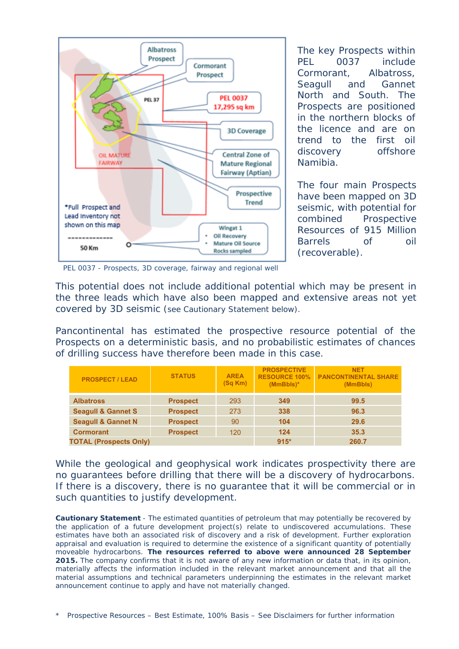

The key Prospects within PEL 0037 include Cormorant, Albatross, Seagull and Gannet North and South. The Prospects are positioned in the northern blocks of the licence and are on trend to the first oil discovery offshore Namibia.

The four main Prospects have been mapped on 3D seismic, with potential for combined Prospective Resources of 915 Million Barrels of oil (recoverable).

PEL 0037 - Prospects, 3D coverage, fairway and regional well

This potential does not include additional potential which may be present in the three leads which have also been mapped and extensive areas not yet covered by 3D seismic (see Cautionary Statement below).

Pancontinental has estimated the prospective resource potential of the Prospects on a deterministic basis, and no probabilistic estimates of chances of drilling success have therefore been made in this case.

| <b>PROSPECT / LEAD</b>        | <b>STATUS</b>   | <b>AREA</b><br>(Sq Km) | <b>PROSPECTIVE</b><br><b>RESOURCE 100%</b><br>$(MmBbls)*$ | <b>NET</b><br><b>PANCONTINENTAL SHARE</b><br>(MmBbls) |
|-------------------------------|-----------------|------------------------|-----------------------------------------------------------|-------------------------------------------------------|
| <b>Albatross</b>              | <b>Prospect</b> | 293                    | 349                                                       | 99.5                                                  |
| <b>Seagull &amp; Gannet S</b> | <b>Prospect</b> | 273                    | 338                                                       | 96.3                                                  |
| <b>Seagull &amp; Gannet N</b> | <b>Prospect</b> | 90                     | 104                                                       | 29.6                                                  |
| <b>Cormorant</b>              | <b>Prospect</b> | 120                    | 124                                                       | 35.3                                                  |
| <b>TOTAL (Prospects Only)</b> |                 |                        | $915*$                                                    | 260.7                                                 |

While the geological and geophysical work indicates prospectivity there are no guarantees before drilling that there will be a discovery of hydrocarbons. If there is a discovery, there is no guarantee that it will be commercial or in such quantities to justify development.

**Cautionary Statement** - The estimated quantities of petroleum that may potentially be recovered by the application of a future development project(s) relate to undiscovered accumulations. These estimates have both an associated risk of discovery and a risk of development. Further exploration appraisal and evaluation is required to determine the existence of a significant quantity of potentially moveable hydrocarbons. **The resources referred to above were announced 28 September 2015.** The company confirms that it is not aware of any new information or data that, in its opinion, materially affects the information included in the relevant market announcement and that all the material assumptions and technical parameters underpinning the estimates in the relevant market announcement continue to apply and have not materially changed.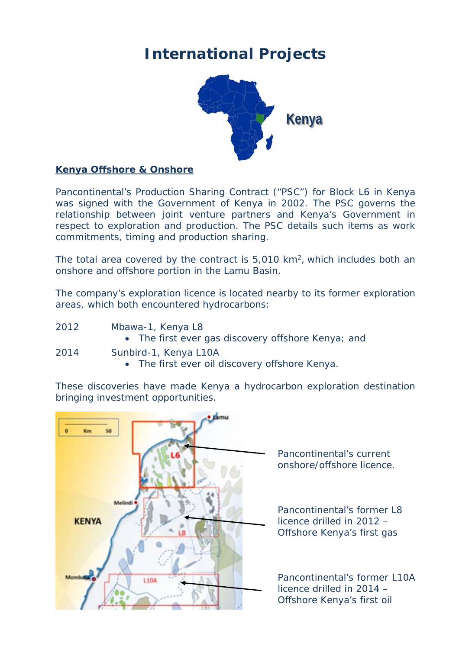# **International Projects**



#### **Kenya Offshore & Onshore**

Pancontinental's Production Sharing Contract ("PSC") for Block L6 in Kenya was signed with the Government of Kenya in 2002. The PSC governs the relationship between joint venture partners and Kenya's Government in respect to exploration and production. The PSC details such items as work commitments, timing and production sharing.

The total area covered by the contract is 5,010 km<sup>2</sup>, which includes both an onshore and offshore portion in the Lamu Basin.

The company's exploration licence is located nearby to its former exploration areas, which both encountered hydrocarbons:

- 2012 Mbawa-1, Kenya L8 • The first ever gas discovery offshore Kenya; and 2014 Sunbird-1, Kenya L10A
	- The first ever oil discovery offshore Kenya.

These discoveries have made Kenya a hydrocarbon exploration destination bringing investment opportunities.



 Pancontinental's current onshore/offshore licence.

 Pancontinental's former L8 licence drilled in 2012 – Offshore Kenya's first gas

 Pancontinental's former L10A licence drilled in 2014 – Offshore Kenya's first oil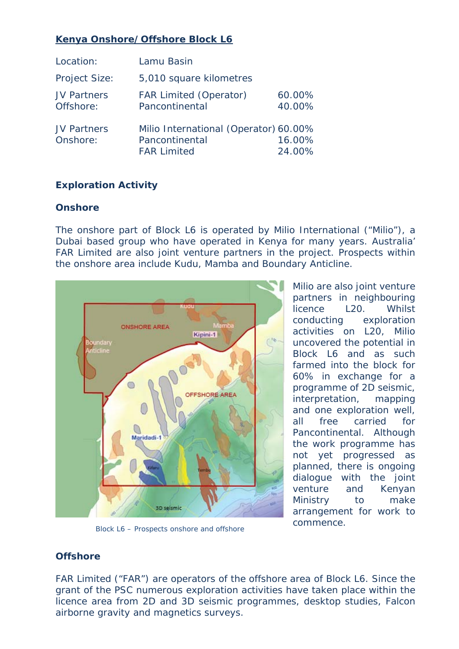## **Kenya Onshore/Offshore Block L6**

| Location:                       | Lamu Basin                                                                    |                  |
|---------------------------------|-------------------------------------------------------------------------------|------------------|
| <b>Project Size:</b>            | 5,010 square kilometres                                                       |                  |
| <b>JV Partners</b><br>Offshore: | <b>FAR Limited (Operator)</b><br>Pancontinental                               | 60.00%<br>40.00% |
| <b>JV Partners</b><br>Onshore:  | Milio International (Operator) 60.00%<br>Pancontinental<br><b>FAR Limited</b> | 16.00%<br>24.00% |

### **Exploration Activity**

#### **Onshore**

The onshore part of Block L6 is operated by Milio International ("Milio"), a Dubai based group who have operated in Kenya for many years. Australia' FAR Limited are also joint venture partners in the project. Prospects within the onshore area include Kudu, Mamba and Boundary Anticline.



Block L6 – Prospects onshore and offshore

Milio are also joint venture partners in neighbouring licence L20. Whilst conducting exploration activities on L20, Milio uncovered the potential in Block L6 and as such farmed into the block for 60% in exchange for a programme of 2D seismic, interpretation, mapping and one exploration well, all free carried for Pancontinental. Although the work programme has not yet progressed as planned, there is ongoing dialogue with the joint venture and Kenyan Ministry to make arrangement for work to commence.

### **Offshore**

FAR Limited ("FAR") are operators of the offshore area of Block L6. Since the grant of the PSC numerous exploration activities have taken place within the licence area from 2D and 3D seismic programmes, desktop studies, Falcon airborne gravity and magnetics surveys.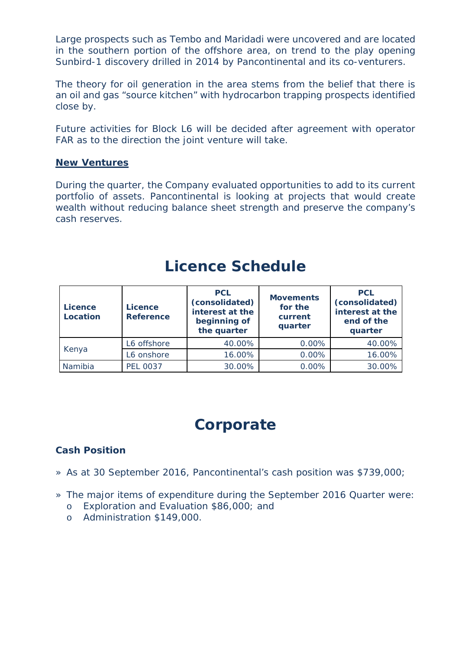Large prospects such as Tembo and Maridadi were uncovered and are located in the southern portion of the offshore area, on trend to the play opening Sunbird-1 discovery drilled in 2014 by Pancontinental and its co-venturers.

The theory for oil generation in the area stems from the belief that there is an oil and gas "source kitchen" with hydrocarbon trapping prospects identified close by.

Future activities for Block L6 will be decided after agreement with operator FAR as to the direction the joint venture will take.

#### **New Ventures**

During the quarter, the Company evaluated opportunities to add to its current portfolio of assets. Pancontinental is looking at projects that would create wealth without reducing balance sheet strength and preserve the company's cash reserves.

| <b>Licence</b><br>Location | <b>Licence</b><br><b>Reference</b> | <b>PCL</b><br>(consolidated)<br>interest at the<br>beginning of<br>the quarter | <b>Movements</b><br>for the<br>current<br>quarter | <b>PCL</b><br>(consolidated)<br>interest at the<br>end of the<br>quarter |
|----------------------------|------------------------------------|--------------------------------------------------------------------------------|---------------------------------------------------|--------------------------------------------------------------------------|
| Kenya                      | L6 offshore                        | 40.00%                                                                         | 0.00%                                             | 40.00%                                                                   |
|                            | L6 onshore                         | 16.00%                                                                         | 0.00%                                             | 16.00%                                                                   |
| Namibia                    | <b>PEL 0037</b>                    | 30.00%                                                                         | 0.00%                                             | 30.00%                                                                   |

## **Licence Schedule**

## **Corporate**

### **Cash Position**

- » As at 30 September 2016, Pancontinental's cash position was \$739,000;
- » The major items of expenditure during the September 2016 Quarter were:
	- o Exploration and Evaluation \$86,000; and
	- o Administration \$149,000.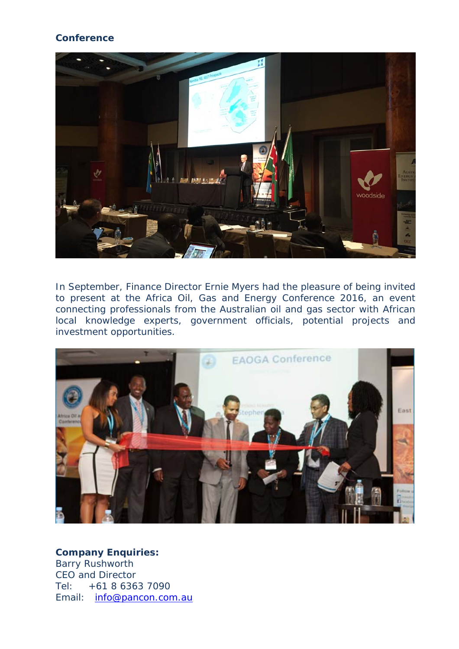#### **Conference**



In September, Finance Director Ernie Myers had the pleasure of being invited to present at the Africa Oil, Gas and Energy Conference 2016, an event connecting professionals from the Australian oil and gas sector with African local knowledge experts, government officials, potential projects and investment opportunities.



#### **Company Enquiries:**

Barry Rushworth CEO and Director Tel: +61 8 6363 7090 Email: info@pancon.com.au